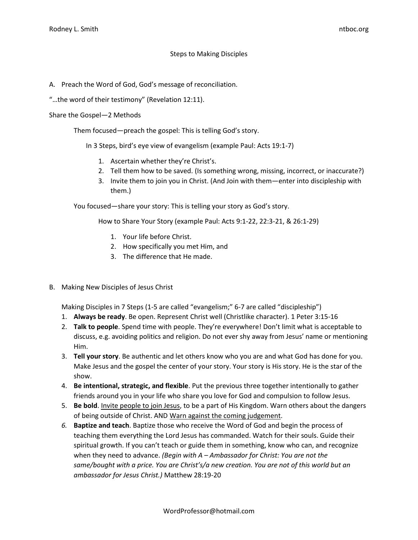## Steps to Making Disciples

- A. Preach the Word of God, God's message of reconciliation.
- "…the word of their testimony" (Revelation 12:11).

Share the Gospel—2 Methods

Them focused—preach the gospel: This is telling God's story.

In 3 Steps, bird's eye view of evangelism (example Paul: Acts 19:1-7)

- 1. Ascertain whether they're Christ's.
- 2. Tell them how to be saved. (Is something wrong, missing, incorrect, or inaccurate?)
- 3. Invite them to join you in Christ. (And Join with them—enter into discipleship with them.)

You focused—share your story: This is telling your story as God's story.

How to Share Your Story (example Paul: Acts 9:1-22, 22:3-21, & 26:1-29)

- 1. Your life before Christ.
- 2. How specifically you met Him, and
- 3. The difference that He made.
- B. Making New Disciples of Jesus Christ

Making Disciples in 7 Steps (1-5 are called "evangelism;" 6-7 are called "discipleship")

- 1. **Always be ready**. Be open. Represent Christ well (Christlike character). 1 Peter 3:15-16
- 2. **Talk to people**. Spend time with people. They're everywhere! Don't limit what is acceptable to discuss, e.g. avoiding politics and religion. Do not ever shy away from Jesus' name or mentioning Him.
- 3. **Tell your story**. Be authentic and let others know who you are and what God has done for you. Make Jesus and the gospel the center of your story. Your story is His story. He is the star of the show.
- 4. **Be intentional, strategic, and flexible**. Put the previous three together intentionally to gather friends around you in your life who share you love for God and compulsion to follow Jesus.
- 5. **Be bold**. Invite people to join Jesus, to be a part of His Kingdom. Warn others about the dangers of being outside of Christ. AND Warn against the coming judgement.
- *6.* **Baptize and teach**. Baptize those who receive the Word of God and begin the process of teaching them everything the Lord Jesus has commanded. Watch for their souls. Guide their spiritual growth. If you can't teach or guide them in something, know who can, and recognize when they need to advance. *(Begin with A – Ambassador for Christ: You are not the same/bought with a price. You are Christ's/a new creation. You are not of this world but an ambassador for Jesus Christ.)* Matthew 28:19-20